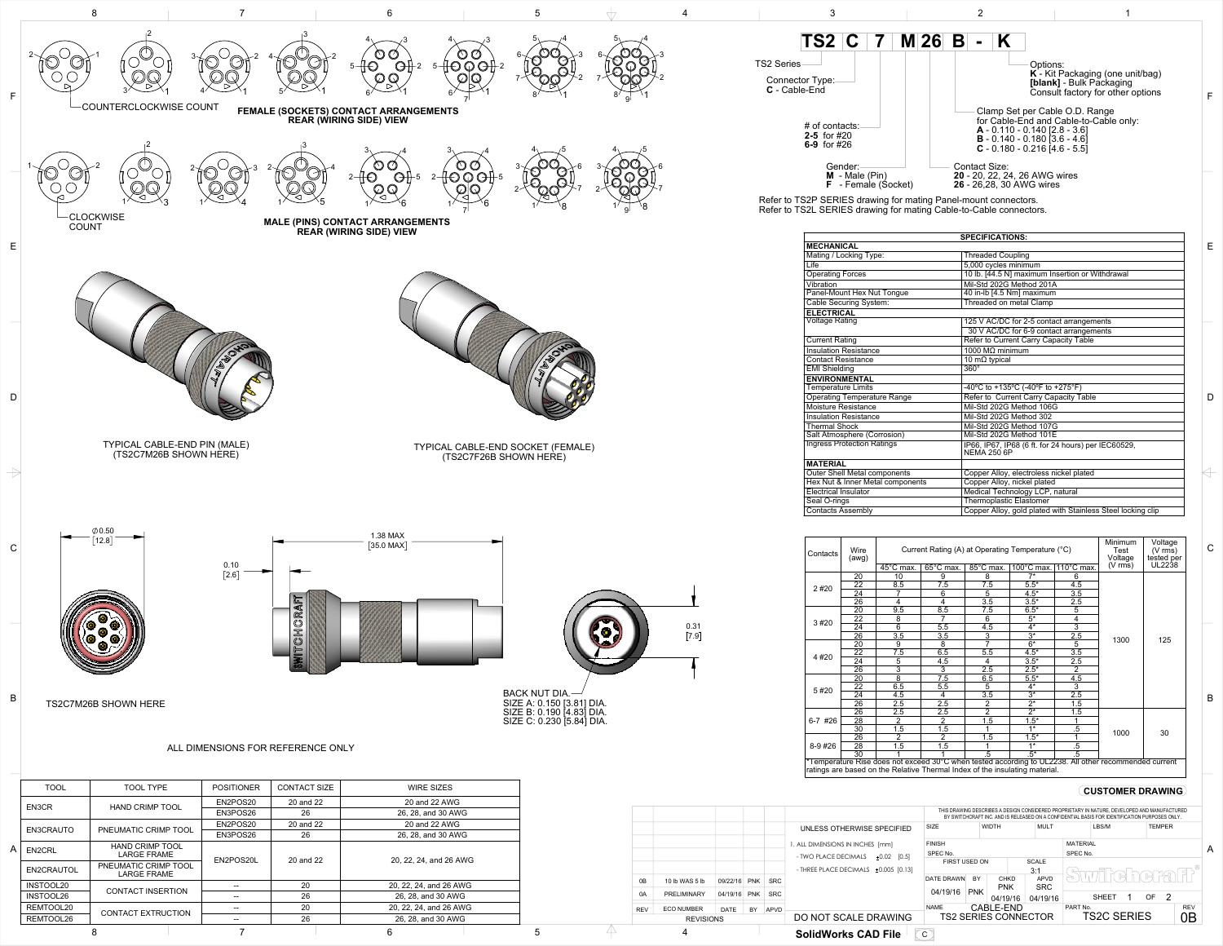

Refer to TS2P SERIES drawing for mating Panel-mount connectors. Refer to TS2L SERIES drawing for mating Cable-to-Cable connectors.

| Contacts                                                                                                                                                                             | Wire<br>(awg)   |                                | Current Rating (A) at Operating Temperature (°C) | Minimum<br>Test<br>Voltage | Voltage<br>$(V \, \text{rms})$<br>tested per |                      |                     |        |
|--------------------------------------------------------------------------------------------------------------------------------------------------------------------------------------|-----------------|--------------------------------|--------------------------------------------------|----------------------------|----------------------------------------------|----------------------|---------------------|--------|
|                                                                                                                                                                                      |                 | $\overline{45}^{\circ}$ C max. | 65°C max.                                        | 85°C max.                  | 100°C max.                                   | $110^{\circ}$ C max. | $(V \, \text{rms})$ | UL2238 |
|                                                                                                                                                                                      | 20              | 10                             | 9                                                | 8                          | $7*$                                         | 6                    |                     |        |
| 2#20                                                                                                                                                                                 | $\overline{22}$ | 8.5                            | $\overline{7.5}$                                 | 7.5                        | $5.5*$                                       | $\overline{4.5}$     |                     |        |
|                                                                                                                                                                                      | 24              |                                | 6                                                | 5                          | $4.5*$                                       | 3.5                  |                     |        |
|                                                                                                                                                                                      | 26              | 4                              | 4                                                | 3.5                        | $3.5*$                                       | 2.5                  |                     |        |
|                                                                                                                                                                                      | $\overline{20}$ | $\overline{9.5}$               | 8.5                                              | 7.5                        | $6.5*$                                       | 5                    |                     |        |
|                                                                                                                                                                                      | 22              | 8                              | 7                                                | 6                          | $5*$                                         | 4                    |                     |        |
| 3#20                                                                                                                                                                                 | $\overline{24}$ | $\overline{6}$                 | 5.5                                              | 4.5                        | $4*$                                         | $\overline{3}$       |                     |        |
|                                                                                                                                                                                      | $\overline{26}$ | 3.5                            | 3.5                                              | $\overline{3}$             | $\overline{3^*}$                             | 2.5                  |                     | 125    |
|                                                                                                                                                                                      | 20              | 9                              | $\overline{8}$                                   | 7                          | $\overline{6^*}$                             | $\overline{5}$       | 1300                |        |
|                                                                                                                                                                                      | 22              | 7.5                            | 6.5                                              | 5.5                        | $4.5*$                                       | 3.5                  |                     |        |
| 4#20                                                                                                                                                                                 | $\overline{24}$ | $\overline{5}$                 | $\overline{4.5}$                                 | 4                          | $3.5*$                                       | $\overline{2.5}$     |                     |        |
|                                                                                                                                                                                      | 26              | $\overline{3}$                 | 3                                                | 2.5                        | $2.5*$                                       | $\overline{2}$       |                     |        |
|                                                                                                                                                                                      | 20              | $\overline{8}$                 | 7.5                                              | 6.5                        | $5.5*$                                       | 4.5                  |                     |        |
|                                                                                                                                                                                      | 22              | 6.5                            | $\overline{5.5}$                                 | 5                          | $4*$                                         | $\overline{3}$       |                     |        |
| 5#20                                                                                                                                                                                 | 24              | 4.5                            | 4                                                | 3.5                        | $\overline{3^*}$                             | 2.5                  |                     |        |
|                                                                                                                                                                                      | 26              | $\overline{2.5}$               | 2.5                                              | 2                          | $2^*$                                        | $\overline{1.5}$     |                     |        |
|                                                                                                                                                                                      | 26              | 2.5                            | 2.5                                              | $\overline{2}$             | $\overline{2^*}$                             | 1.5                  |                     |        |
| 6-7 #26                                                                                                                                                                              | 28              | $\overline{2}$                 | 2                                                | 1.5                        | $1.5*$                                       |                      |                     |        |
|                                                                                                                                                                                      | 30              | 1.5                            | 1.5                                              |                            | $4*$                                         | $.5\,$               | 1000                | 30     |
| $8 - 9$ #26                                                                                                                                                                          | 26              | $\overline{2}$                 | $\overline{2}$                                   | 1.5                        | $1.5*$                                       |                      |                     |        |
|                                                                                                                                                                                      | 28              | 1.5                            | 1.5                                              |                            | $4*$<br>$.5\,$                               |                      |                     |        |
|                                                                                                                                                                                      | 30              |                                |                                                  | .5                         | $.5^*$                                       | $\overline{.5}$      |                     |        |
| *Temperature Rise does not exceed 30°C when tested according to UL2238. All other recommended current<br>ratings are based on the Relative Thermal Index of the insulating material. |                 |                                |                                                  |                            |                                              |                      |                     |        |



26, 28, and 30 AWG

|                                    | <b>SPECIFICATIONS:</b>                                                    |
|------------------------------------|---------------------------------------------------------------------------|
| <b>MECHANICAL</b>                  |                                                                           |
| Mating / Locking Type:             | <b>Threaded Coupling</b>                                                  |
| Life                               | 5,000 cycles minimum                                                      |
| <b>Operating Forces</b>            | 10 lb. [44.5 N] maximum Insertion or Withdrawal                           |
| Vibration                          | Mil-Std 202G Method 201A                                                  |
| Panel-Mount Hex Nut Tongue         | 40 in-lb [4.5 Nm] maximum                                                 |
| Cable Securing System:             | Threaded on metal Clamp                                                   |
| <b>ELECTRICAL</b>                  |                                                                           |
| <b>Voltage Rating</b>              | 125 V AC/DC for 2-5 contact arrangements                                  |
|                                    | 30 V AC/DC for 6-9 contact arrangements                                   |
| <b>Current Rating</b>              | Refer to Current Carry Capacity Table                                     |
| <b>Insulation Resistance</b>       | 1000 $MΩ$ minimum                                                         |
| <b>Contact Resistance</b>          | $\overline{10 \text{ m}\Omega}$ typical                                   |
| <b>EMI Shielding</b>               | $360^\circ$                                                               |
| <b>ENVIRONMENTAL</b>               |                                                                           |
| <b>Temperature Limits</b>          | -40°C to +135°C (-40°F to +275°F)                                         |
| <b>Operating Temperature Range</b> | Refer to Current Carry Capacity Table                                     |
| Moisture Resistance                | Mil-Std 202G Method 106G                                                  |
| <b>Insulation Resistance</b>       | Mil-Std 202G Method 302                                                   |
| <b>Thermal Shock</b>               | Mil-Std 202G Method 107G                                                  |
| Salt Atmosphere (Corrosion)        | Mil-Std 202G Method 101E                                                  |
| <b>Ingress Protection Ratings</b>  | IP66, IP67, IP68 (6 ft. for 24 hours) per IEC60529,<br><b>NEMA 250 6P</b> |
| <b>MATERIAL</b>                    |                                                                           |
| Outer Shell Metal components       | Copper Alloy, electroless nickel plated                                   |
| Hex Nut & Inner Metal components   | Copper Alloy, nickel plated                                               |
| <b>Electrical Insulator</b>        | Medical Technology LCP, natural                                           |
| Seal O-rings                       | <b>Thermoplastic Elastomer</b>                                            |
| <b>Contacts Assembly</b>           | Copper Alloy, gold plated with Stainless Steel locking clip               |

8 7 6 5 4

REMTOOL20 CONTACT EXTRUCTION  $\begin{array}{|c|c|c|c|c|}\n\hline\n& - & 20 & 20, 22, 24, \text{ and } 26 \text{ AWG} \\
\hline\n\text{REMTOOL26} & 26, 28, \text{ and } 30 \text{ AWG}\n\end{array}$ 

B

C

D

 $\Leftrightarrow$ 

E

F

## **CUSTOMER DRAWING**

|                  |                   |             |            |            | <b>SolidWorks CAD File</b>                | $\mathsf{C}$                                      |            |              |                                                                                                                                                                                               |          |              |  |               |  |            |  |
|------------------|-------------------|-------------|------------|------------|-------------------------------------------|---------------------------------------------------|------------|--------------|-----------------------------------------------------------------------------------------------------------------------------------------------------------------------------------------------|----------|--------------|--|---------------|--|------------|--|
| <b>REVISIONS</b> |                   |             |            |            | DO NOT SCALE DRAWING                      | <b>TS2C SERIES</b><br><b>TS2 SERIES CONNECTOR</b> |            |              |                                                                                                                                                                                               |          | 0Β           |  |               |  |            |  |
| <b>REV</b>       | <b>ECO NUMBER</b> | <b>DATE</b> | BY.        | APVD       |                                           | <b>NAME</b>                                       |            | CABLE-END    |                                                                                                                                                                                               | PART No. |              |  |               |  | <b>REV</b> |  |
| 0A               | PRELIMINARY       | 04/19/16    | <b>PNK</b> | <b>SRC</b> |                                           | 04/19/16                                          | <b>PNK</b> | 04/19/16     | 04/19/16                                                                                                                                                                                      |          | <b>SHEET</b> |  | OF.           |  |            |  |
|                  |                   |             |            |            |                                           |                                                   |            | <b>PNK</b>   | <b>SRC</b>                                                                                                                                                                                    |          |              |  |               |  |            |  |
| 0B               | 10 lb WAS 5 lb    | 09/22/16    | <b>PNK</b> | <b>SRC</b> |                                           | <b>DATE DRAWN</b>                                 | <b>BY</b>  | <b>CHKD</b>  | <b>APVD</b>                                                                                                                                                                                   |          |              |  |               |  |            |  |
|                  |                   |             |            |            | - THREE PLACE DECIMALS $\pm 0.005$ [0.13] | 3:1                                               |            |              | TUL 10 VERS                                                                                                                                                                                   |          |              |  |               |  |            |  |
|                  |                   |             |            |            | - TWO PLACE DECIMALS<br>±0.02<br>[0.5]    | SPEC No.<br>FIRST USED ON                         |            |              | <b>SCALE</b>                                                                                                                                                                                  | SPEC No. |              |  |               |  |            |  |
|                  |                   |             |            |            | I. ALL DIMENSIONS IN INCHES [mm]          | <b>FINISH</b>                                     |            |              | <b>MATERIAL</b>                                                                                                                                                                               |          |              |  |               |  | A          |  |
|                  |                   |             |            |            |                                           |                                                   |            |              |                                                                                                                                                                                               |          |              |  |               |  |            |  |
|                  |                   |             |            |            | UNLESS OTHERWISE SPECIFIED                | <b>SIZE</b>                                       |            | <b>WIDTH</b> | MULT                                                                                                                                                                                          |          | LBS/M        |  | <b>TEMPER</b> |  |            |  |
|                  |                   |             |            |            |                                           |                                                   |            |              | THIS DRAWING DESCRIBES A DESIGN CONSIDERED PROPRIETARY IN NATURE. DEVELOPED AND MANUFACTURED<br>BY SWITCHCRAFT INC. AND IS RELEASED ON A CONFIDENTIAL BASIS FOR IDENTIFICATION PURPOSES ONLY. |          |              |  |               |  |            |  |
|                  |                   |             |            |            |                                           |                                                   |            |              |                                                                                                                                                                                               |          |              |  |               |  |            |  |